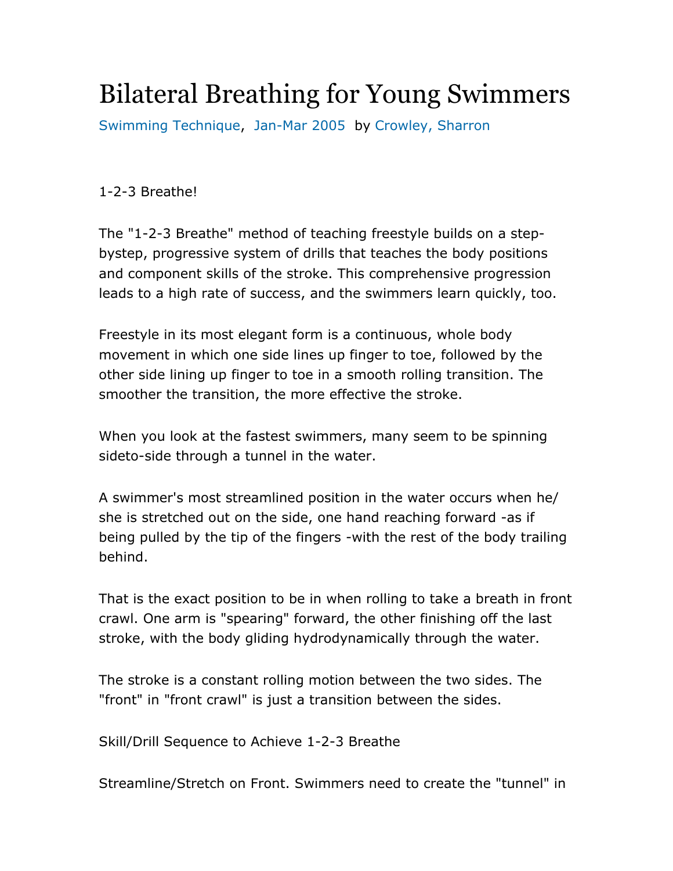## Bilateral Breathing for Young Swimmers

Swimming Technique, Jan-Mar 2005 by Crowley, Sharron

1-2-3 Breathe!

The "1-2-3 Breathe" method of teaching freestyle builds on a stepbystep, progressive system of drills that teaches the body positions and component skills of the stroke. This comprehensive progression leads to a high rate of success, and the swimmers learn quickly, too.

Freestyle in its most elegant form is a continuous, whole body movement in which one side lines up finger to toe, followed by the other side lining up finger to toe in a smooth rolling transition. The smoother the transition, the more effective the stroke.

When you look at the fastest swimmers, many seem to be spinning sideto-side through a tunnel in the water.

A swimmer's most streamlined position in the water occurs when he/ she is stretched out on the side, one hand reaching forward -as if being pulled by the tip of the fingers -with the rest of the body trailing behind.

That is the exact position to be in when rolling to take a breath in front crawl. One arm is "spearing" forward, the other finishing off the last stroke, with the body gliding hydrodynamically through the water.

The stroke is a constant rolling motion between the two sides. The "front" in "front crawl" is just a transition between the sides.

Skill/Drill Sequence to Achieve 1-2-3 Breathe

Streamline/Stretch on Front. Swimmers need to create the "tunnel" in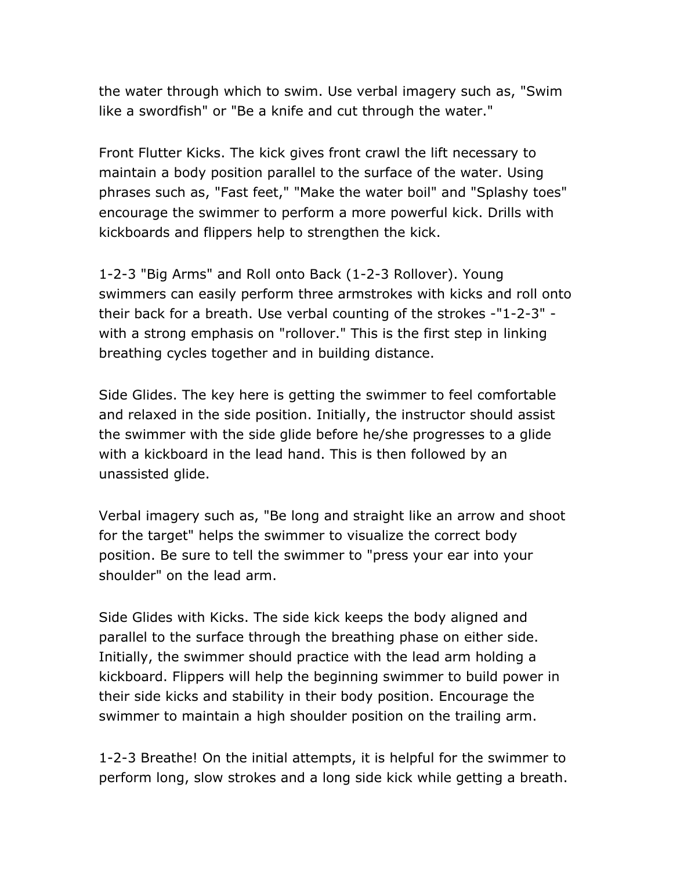the water through which to swim. Use verbal imagery such as, "Swim like a swordfish" or "Be a knife and cut through the water."

Front Flutter Kicks. The kick gives front crawl the lift necessary to maintain a body position parallel to the surface of the water. Using phrases such as, "Fast feet," "Make the water boil" and "Splashy toes" encourage the swimmer to perform a more powerful kick. Drills with kickboards and flippers help to strengthen the kick.

1-2-3 "Big Arms" and Roll onto Back (1-2-3 Rollover). Young swimmers can easily perform three armstrokes with kicks and roll onto their back for a breath. Use verbal counting of the strokes -"1-2-3" with a strong emphasis on "rollover." This is the first step in linking breathing cycles together and in building distance.

Side Glides. The key here is getting the swimmer to feel comfortable and relaxed in the side position. Initially, the instructor should assist the swimmer with the side glide before he/she progresses to a glide with a kickboard in the lead hand. This is then followed by an unassisted glide.

Verbal imagery such as, "Be long and straight like an arrow and shoot for the target" helps the swimmer to visualize the correct body position. Be sure to tell the swimmer to "press your ear into your shoulder" on the lead arm.

Side Glides with Kicks. The side kick keeps the body aligned and parallel to the surface through the breathing phase on either side. Initially, the swimmer should practice with the lead arm holding a kickboard. Flippers will help the beginning swimmer to build power in their side kicks and stability in their body position. Encourage the swimmer to maintain a high shoulder position on the trailing arm.

1-2-3 Breathe! On the initial attempts, it is helpful for the swimmer to perform long, slow strokes and a long side kick while getting a breath.